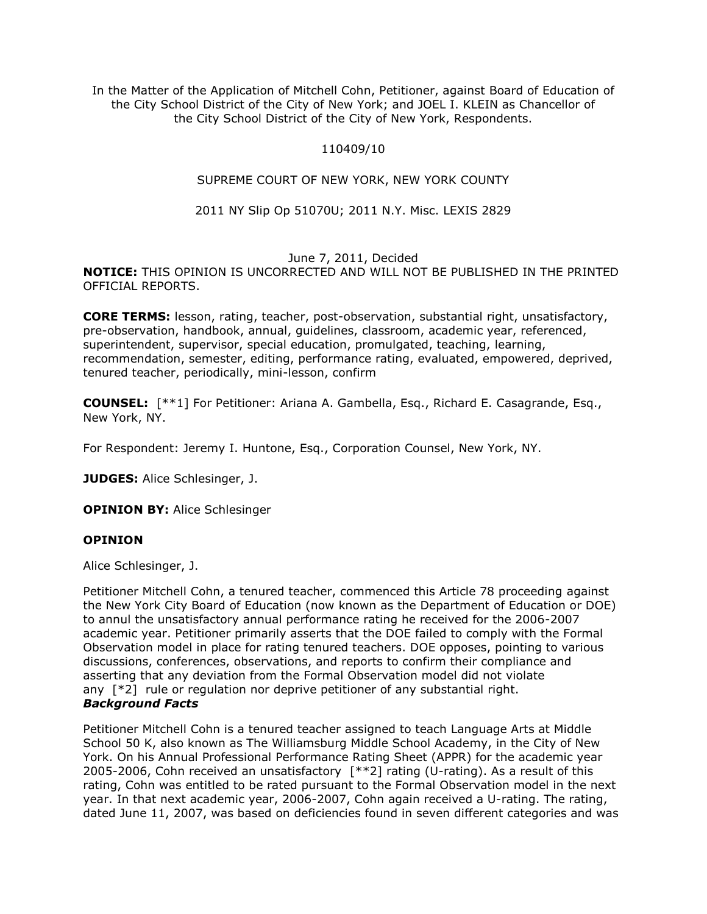In the Matter of the Application of Mitchell Cohn, Petitioner, against Board of Education of the City School District of the City of New York; and JOEL I. KLEIN as Chancellor of the City School District of the City of New York, Respondents.

# 110409/10

# SUPREME COURT OF NEW YORK, NEW YORK COUNTY

# 2011 NY Slip Op 51070U; 2011 N.Y. Misc. LEXIS 2829

### June 7, 2011, Decided

**NOTICE:** THIS OPINION IS UNCORRECTED AND WILL NOT BE PUBLISHED IN THE PRINTED OFFICIAL REPORTS.

**CORE TERMS:** lesson, rating, teacher, post-observation, substantial right, unsatisfactory, pre-observation, handbook, annual, guidelines, classroom, academic year, referenced, superintendent, supervisor, special education, promulgated, teaching, learning, recommendation, semester, editing, performance rating, evaluated, empowered, deprived, tenured teacher, periodically, mini-lesson, confirm

**COUNSEL:** [\*\*1] For Petitioner: Ariana A. Gambella, Esq., Richard E. Casagrande, Esq., New York, NY.

For Respondent: Jeremy I. Huntone, Esq., Corporation Counsel, New York, NY.

**JUDGES:** Alice Schlesinger, J.

**OPINION BY:** Alice Schlesinger

### **OPINION**

Alice Schlesinger, J.

Petitioner Mitchell Cohn, a tenured teacher, commenced this Article 78 proceeding against the New York City Board of Education (now known as the Department of Education or DOE) to annul the unsatisfactory annual performance rating he received for the 2006-2007 academic year. Petitioner primarily asserts that the DOE failed to comply with the Formal Observation model in place for rating tenured teachers. DOE opposes, pointing to various discussions, conferences, observations, and reports to confirm their compliance and asserting that any deviation from the Formal Observation model did not violate any  $\lceil *2 \rceil$  rule or regulation nor deprive petitioner of any substantial right. *Background Facts*

Petitioner Mitchell Cohn is a tenured teacher assigned to teach Language Arts at Middle School 50 K, also known as The Williamsburg Middle School Academy, in the City of New York. On his Annual Professional Performance Rating Sheet (APPR) for the academic year 2005-2006, Cohn received an unsatisfactory [\*\*2] rating (U-rating). As a result of this rating, Cohn was entitled to be rated pursuant to the Formal Observation model in the next year. In that next academic year, 2006-2007, Cohn again received a U-rating. The rating, dated June 11, 2007, was based on deficiencies found in seven different categories and was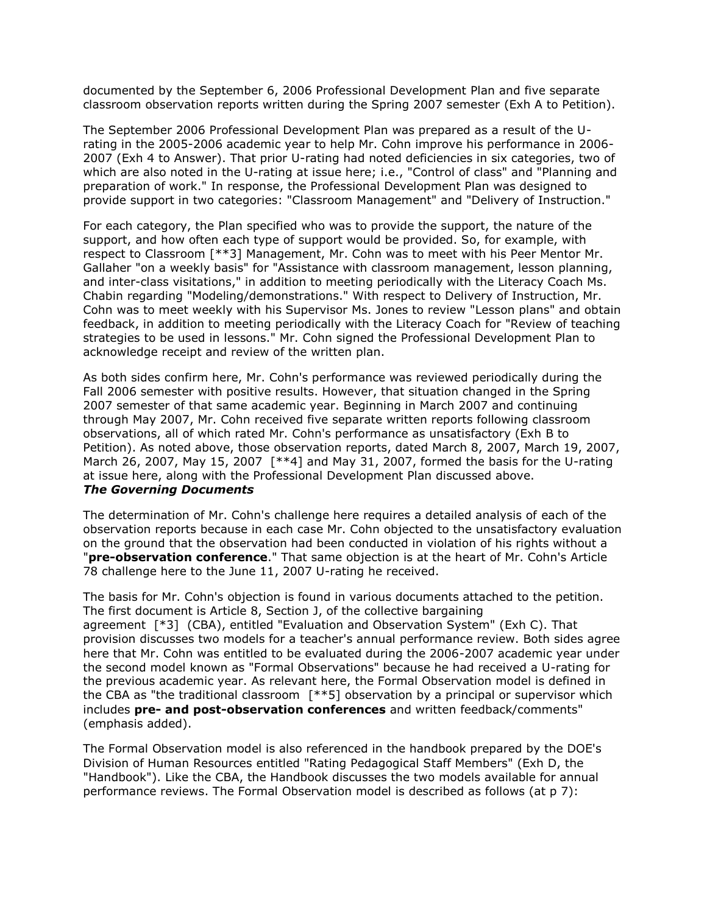documented by the September 6, 2006 Professional Development Plan and five separate classroom observation reports written during the Spring 2007 semester (Exh A to Petition).

The September 2006 Professional Development Plan was prepared as a result of the Urating in the 2005-2006 academic year to help Mr. Cohn improve his performance in 2006- 2007 (Exh 4 to Answer). That prior U-rating had noted deficiencies in six categories, two of which are also noted in the U-rating at issue here; i.e., "Control of class" and "Planning and preparation of work." In response, the Professional Development Plan was designed to provide support in two categories: "Classroom Management" and "Delivery of Instruction."

For each category, the Plan specified who was to provide the support, the nature of the support, and how often each type of support would be provided. So, for example, with respect to Classroom [\*\*3] Management, Mr. Cohn was to meet with his Peer Mentor Mr. Gallaher "on a weekly basis" for "Assistance with classroom management, lesson planning, and inter-class visitations," in addition to meeting periodically with the Literacy Coach Ms. Chabin regarding "Modeling/demonstrations." With respect to Delivery of Instruction, Mr. Cohn was to meet weekly with his Supervisor Ms. Jones to review "Lesson plans" and obtain feedback, in addition to meeting periodically with the Literacy Coach for "Review of teaching strategies to be used in lessons." Mr. Cohn signed the Professional Development Plan to acknowledge receipt and review of the written plan.

As both sides confirm here, Mr. Cohn's performance was reviewed periodically during the Fall 2006 semester with positive results. However, that situation changed in the Spring 2007 semester of that same academic year. Beginning in March 2007 and continuing through May 2007, Mr. Cohn received five separate written reports following classroom observations, all of which rated Mr. Cohn's performance as unsatisfactory (Exh B to Petition). As noted above, those observation reports, dated March 8, 2007, March 19, 2007, March 26, 2007, May 15, 2007 [\*\*4] and May 31, 2007, formed the basis for the U-rating at issue here, along with the Professional Development Plan discussed above. *The Governing Documents*

The determination of Mr. Cohn's challenge here requires a detailed analysis of each of the observation reports because in each case Mr. Cohn objected to the unsatisfactory evaluation on the ground that the observation had been conducted in violation of his rights without a "**pre-observation conference**." That same objection is at the heart of Mr. Cohn's Article 78 challenge here to the June 11, 2007 U-rating he received.

The basis for Mr. Cohn's objection is found in various documents attached to the petition. The first document is Article 8, Section J, of the collective bargaining agreement [\*3] (CBA), entitled "Evaluation and Observation System" (Exh C). That provision discusses two models for a teacher's annual performance review. Both sides agree here that Mr. Cohn was entitled to be evaluated during the 2006-2007 academic year under the second model known as "Formal Observations" because he had received a U-rating for the previous academic year. As relevant here, the Formal Observation model is defined in the CBA as "the traditional classroom [\*\*5] observation by a principal or supervisor which includes **pre- and post-observation conferences** and written feedback/comments" (emphasis added).

The Formal Observation model is also referenced in the handbook prepared by the DOE's Division of Human Resources entitled "Rating Pedagogical Staff Members" (Exh D, the "Handbook"). Like the CBA, the Handbook discusses the two models available for annual performance reviews. The Formal Observation model is described as follows (at p 7):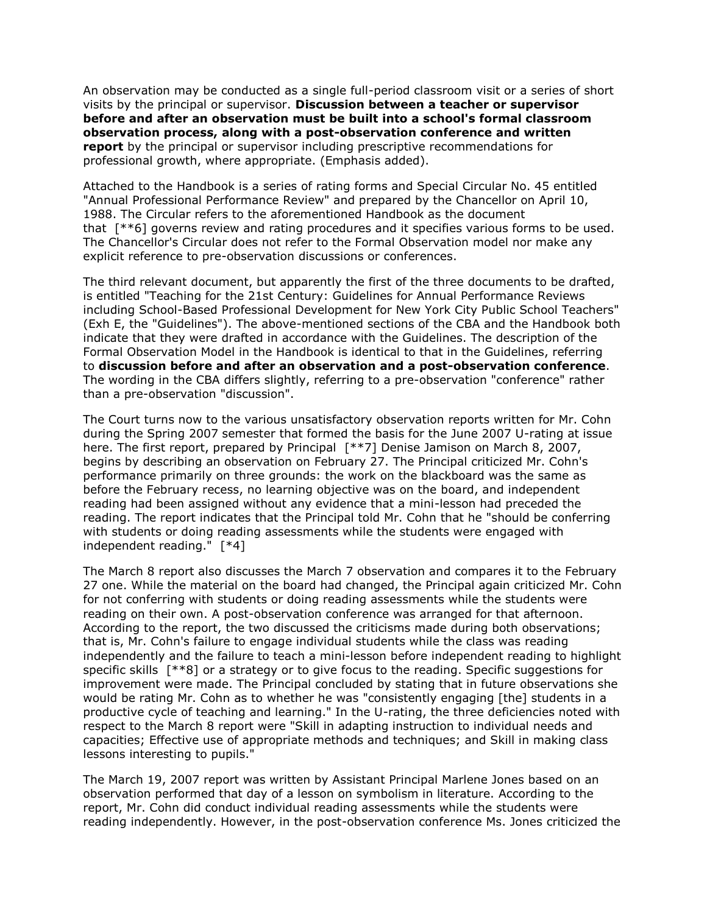An observation may be conducted as a single full-period classroom visit or a series of short visits by the principal or supervisor. **Discussion between a teacher or supervisor before and after an observation must be built into a school's formal classroom observation process, along with a post-observation conference and written report** by the principal or supervisor including prescriptive recommendations for professional growth, where appropriate. (Emphasis added).

Attached to the Handbook is a series of rating forms and Special Circular No. 45 entitled "Annual Professional Performance Review" and prepared by the Chancellor on April 10, 1988. The Circular refers to the aforementioned Handbook as the document that [\*\*6] governs review and rating procedures and it specifies various forms to be used. The Chancellor's Circular does not refer to the Formal Observation model nor make any explicit reference to pre-observation discussions or conferences.

The third relevant document, but apparently the first of the three documents to be drafted, is entitled "Teaching for the 21st Century: Guidelines for Annual Performance Reviews including School-Based Professional Development for New York City Public School Teachers" (Exh E, the "Guidelines"). The above-mentioned sections of the CBA and the Handbook both indicate that they were drafted in accordance with the Guidelines. The description of the Formal Observation Model in the Handbook is identical to that in the Guidelines, referring to **discussion before and after an observation and a post-observation conference**. The wording in the CBA differs slightly, referring to a pre-observation "conference" rather than a pre-observation "discussion".

The Court turns now to the various unsatisfactory observation reports written for Mr. Cohn during the Spring 2007 semester that formed the basis for the June 2007 U-rating at issue here. The first report, prepared by Principal [\*\*7] Denise Jamison on March 8, 2007, begins by describing an observation on February 27. The Principal criticized Mr. Cohn's performance primarily on three grounds: the work on the blackboard was the same as before the February recess, no learning objective was on the board, and independent reading had been assigned without any evidence that a mini-lesson had preceded the reading. The report indicates that the Principal told Mr. Cohn that he "should be conferring with students or doing reading assessments while the students were engaged with independent reading." [\*4]

The March 8 report also discusses the March 7 observation and compares it to the February 27 one. While the material on the board had changed, the Principal again criticized Mr. Cohn for not conferring with students or doing reading assessments while the students were reading on their own. A post-observation conference was arranged for that afternoon. According to the report, the two discussed the criticisms made during both observations; that is, Mr. Cohn's failure to engage individual students while the class was reading independently and the failure to teach a mini-lesson before independent reading to highlight specific skills [\*\*8] or a strategy or to give focus to the reading. Specific suggestions for improvement were made. The Principal concluded by stating that in future observations she would be rating Mr. Cohn as to whether he was "consistently engaging [the] students in a productive cycle of teaching and learning." In the U-rating, the three deficiencies noted with respect to the March 8 report were "Skill in adapting instruction to individual needs and capacities; Effective use of appropriate methods and techniques; and Skill in making class lessons interesting to pupils."

The March 19, 2007 report was written by Assistant Principal Marlene Jones based on an observation performed that day of a lesson on symbolism in literature. According to the report, Mr. Cohn did conduct individual reading assessments while the students were reading independently. However, in the post-observation conference Ms. Jones criticized the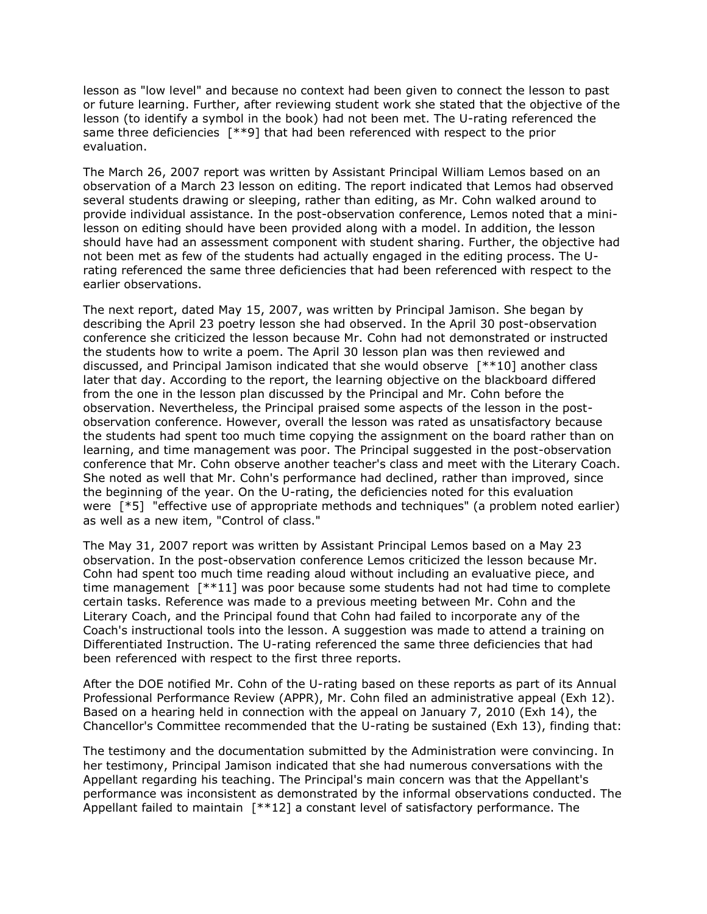lesson as "low level" and because no context had been given to connect the lesson to past or future learning. Further, after reviewing student work she stated that the objective of the lesson (to identify a symbol in the book) had not been met. The U-rating referenced the same three deficiencies [\*\*9] that had been referenced with respect to the prior evaluation.

The March 26, 2007 report was written by Assistant Principal William Lemos based on an observation of a March 23 lesson on editing. The report indicated that Lemos had observed several students drawing or sleeping, rather than editing, as Mr. Cohn walked around to provide individual assistance. In the post-observation conference, Lemos noted that a minilesson on editing should have been provided along with a model. In addition, the lesson should have had an assessment component with student sharing. Further, the objective had not been met as few of the students had actually engaged in the editing process. The Urating referenced the same three deficiencies that had been referenced with respect to the earlier observations.

The next report, dated May 15, 2007, was written by Principal Jamison. She began by describing the April 23 poetry lesson she had observed. In the April 30 post-observation conference she criticized the lesson because Mr. Cohn had not demonstrated or instructed the students how to write a poem. The April 30 lesson plan was then reviewed and discussed, and Principal Jamison indicated that she would observe [\*\*10] another class later that day. According to the report, the learning objective on the blackboard differed from the one in the lesson plan discussed by the Principal and Mr. Cohn before the observation. Nevertheless, the Principal praised some aspects of the lesson in the postobservation conference. However, overall the lesson was rated as unsatisfactory because the students had spent too much time copying the assignment on the board rather than on learning, and time management was poor. The Principal suggested in the post-observation conference that Mr. Cohn observe another teacher's class and meet with the Literary Coach. She noted as well that Mr. Cohn's performance had declined, rather than improved, since the beginning of the year. On the U-rating, the deficiencies noted for this evaluation were [\*5] "effective use of appropriate methods and techniques" (a problem noted earlier) as well as a new item, "Control of class."

The May 31, 2007 report was written by Assistant Principal Lemos based on a May 23 observation. In the post-observation conference Lemos criticized the lesson because Mr. Cohn had spent too much time reading aloud without including an evaluative piece, and time management [\*\*11] was poor because some students had not had time to complete certain tasks. Reference was made to a previous meeting between Mr. Cohn and the Literary Coach, and the Principal found that Cohn had failed to incorporate any of the Coach's instructional tools into the lesson. A suggestion was made to attend a training on Differentiated Instruction. The U-rating referenced the same three deficiencies that had been referenced with respect to the first three reports.

After the DOE notified Mr. Cohn of the U-rating based on these reports as part of its Annual Professional Performance Review (APPR), Mr. Cohn filed an administrative appeal (Exh 12). Based on a hearing held in connection with the appeal on January 7, 2010 (Exh 14), the Chancellor's Committee recommended that the U-rating be sustained (Exh 13), finding that:

The testimony and the documentation submitted by the Administration were convincing. In her testimony, Principal Jamison indicated that she had numerous conversations with the Appellant regarding his teaching. The Principal's main concern was that the Appellant's performance was inconsistent as demonstrated by the informal observations conducted. The Appellant failed to maintain [\*\*12] a constant level of satisfactory performance. The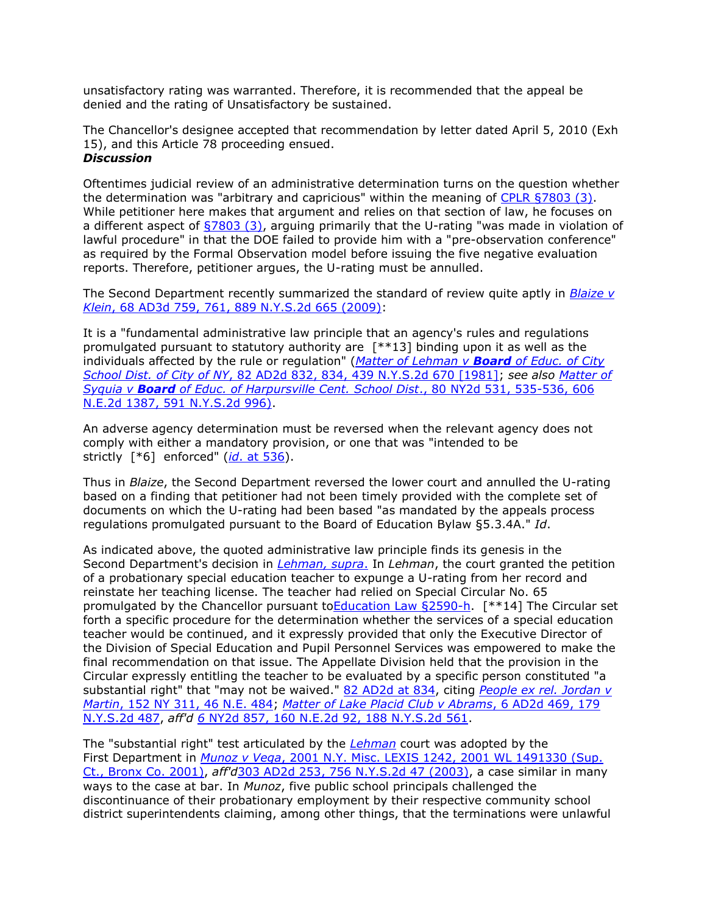unsatisfactory rating was warranted. Therefore, it is recommended that the appeal be denied and the rating of Unsatisfactory be sustained.

The Chancellor's designee accepted that recommendation by letter dated April 5, 2010 (Exh 15), and this Article 78 proceeding ensued.

# *Discussion*

Oftentimes judicial review of an administrative determination turns on the question whether the determination was "arbitrary and capricious" within the meaning of [CPLR §7803 \(3\).](http://www.lexisnexis.com.ezproxy.strose.edu/lnacui2api/mungo/lexseestat.do?bct=A&risb=21_T12239350835&homeCsi=9095&A=0.3977014931131232&urlEnc=ISO-8859-1&&citeString=N.Y.%20C.P.L.R.%207803&countryCode=USA) While petitioner here makes that argument and relies on that section of law, he focuses on a different aspect of  $\frac{57803}{3}$ , arguing primarily that the U-rating "was made in violation of lawful procedure" in that the DOE failed to provide him with a "pre-observation conference" as required by the Formal Observation model before issuing the five negative evaluation reports. Therefore, petitioner argues, the U-rating must be annulled.

The Second Department recently summarized the standard of review quite aptly in *[Blaize v](http://www.lexisnexis.com.ezproxy.strose.edu/lnacui2api/mungo/lexseestat.do?bct=A&risb=21_T12239350835&homeCsi=9095&A=0.3977014931131232&urlEnc=ISO-8859-1&&citeString=68%20A.D.3d%20759,%20761&countryCode=USA)  Klein*[, 68 AD3d 759, 761, 889 N.Y.S.2d 665 \(2009\):](http://www.lexisnexis.com.ezproxy.strose.edu/lnacui2api/mungo/lexseestat.do?bct=A&risb=21_T12239350835&homeCsi=9095&A=0.3977014931131232&urlEnc=ISO-8859-1&&citeString=68%20A.D.3d%20759,%20761&countryCode=USA)

It is a "fundamental administrative law principle that an agency's rules and regulations promulgated pursuant to statutory authority are [\*\*13] binding upon it as well as the individuals affected by the rule or regulation" (*[Matter of Lehman v](http://www.lexisnexis.com.ezproxy.strose.edu/lnacui2api/mungo/lexseestat.do?bct=A&risb=21_T12239350835&homeCsi=9095&A=0.3977014931131232&urlEnc=ISO-8859-1&&citeString=82%20A.D.2d%20832,%20834&countryCode=USA) Board of Educ. of City School Dist. of City of NY*[, 82 AD2d 832, 834, 439 N.Y.S.2d 670 \[1981\];](http://www.lexisnexis.com.ezproxy.strose.edu/lnacui2api/mungo/lexseestat.do?bct=A&risb=21_T12239350835&homeCsi=9095&A=0.3977014931131232&urlEnc=ISO-8859-1&&citeString=82%20A.D.2d%20832,%20834&countryCode=USA) *see also [Matter of](http://www.lexisnexis.com.ezproxy.strose.edu/lnacui2api/mungo/lexseestat.do?bct=A&risb=21_T12239350835&homeCsi=9095&A=0.3977014931131232&urlEnc=ISO-8859-1&&citeString=80%20N.Y.2d%20531,%20535&countryCode=USA)  Syquia v Board [of Educ. of Harpursville Cent. School Dist](http://www.lexisnexis.com.ezproxy.strose.edu/lnacui2api/mungo/lexseestat.do?bct=A&risb=21_T12239350835&homeCsi=9095&A=0.3977014931131232&urlEnc=ISO-8859-1&&citeString=80%20N.Y.2d%20531,%20535&countryCode=USA)*., 80 NY2d 531, 535-536, 606 [N.E.2d 1387, 591 N.Y.S.2d 996\).](http://www.lexisnexis.com.ezproxy.strose.edu/lnacui2api/mungo/lexseestat.do?bct=A&risb=21_T12239350835&homeCsi=9095&A=0.3977014931131232&urlEnc=ISO-8859-1&&citeString=80%20N.Y.2d%20531,%20535&countryCode=USA)

An adverse agency determination must be reversed when the relevant agency does not comply with either a mandatory provision, or one that was "intended to be strictly [\*6] enforced" (*id*[. at 536\)](http://www.lexisnexis.com.ezproxy.strose.edu/lnacui2api/mungo/lexseestat.do?bct=A&risb=21_T12239350835&homeCsi=9095&A=0.3977014931131232&urlEnc=ISO-8859-1&&citeString=80%20N.Y.2d%20531,%20536&countryCode=USA).

Thus in *Blaize*, the Second Department reversed the lower court and annulled the U-rating based on a finding that petitioner had not been timely provided with the complete set of documents on which the U-rating had been based "as mandated by the appeals process regulations promulgated pursuant to the Board of Education Bylaw §5.3.4A." *Id*.

As indicated above, the quoted administrative law principle finds its genesis in the Second Department's decision in *[Lehman, supra](http://www.lexisnexis.com.ezproxy.strose.edu/lnacui2api/mungo/lexseestat.do?bct=A&risb=21_T12239350835&homeCsi=9095&A=0.3977014931131232&urlEnc=ISO-8859-1&&citeString=82%20A.D.2d%20832&countryCode=USA)*. In *Lehman*, the court granted the petition of a probationary special education teacher to expunge a U-rating from her record and reinstate her teaching license. The teacher had relied on Special Circular No. 65 promulgated by the Chancellor pursuant t[oEducation Law §2590-h.](http://www.lexisnexis.com.ezproxy.strose.edu/lnacui2api/mungo/lexseestat.do?bct=A&risb=21_T12239350835&homeCsi=9095&A=0.3977014931131232&urlEnc=ISO-8859-1&&citeString=N.Y.%20EDUC.%20LAW%202590-H&countryCode=USA) [\*\*14] The Circular set forth a specific procedure for the determination whether the services of a special education teacher would be continued, and it expressly provided that only the Executive Director of the Division of Special Education and Pupil Personnel Services was empowered to make the final recommendation on that issue. The Appellate Division held that the provision in the Circular expressly entitling the teacher to be evaluated by a specific person constituted "a substantial right" that "may not be waived." [82 AD2d at 834,](http://www.lexisnexis.com.ezproxy.strose.edu/lnacui2api/mungo/lexseestat.do?bct=A&risb=21_T12239350835&homeCsi=9095&A=0.3977014931131232&urlEnc=ISO-8859-1&&citeString=82%20A.D.2d%20832,%20834&countryCode=USA) citing *[People ex rel. Jordan v](http://www.lexisnexis.com.ezproxy.strose.edu/lnacui2api/mungo/lexseestat.do?bct=A&risb=21_T12239350835&homeCsi=9095&A=0.3977014931131232&urlEnc=ISO-8859-1&&citeString=152%20N.Y.%20311&countryCode=USA)  Martin*[, 152 NY 311, 46 N.E. 484;](http://www.lexisnexis.com.ezproxy.strose.edu/lnacui2api/mungo/lexseestat.do?bct=A&risb=21_T12239350835&homeCsi=9095&A=0.3977014931131232&urlEnc=ISO-8859-1&&citeString=152%20N.Y.%20311&countryCode=USA) *[Matter of Lake Placid Club v Abrams](http://www.lexisnexis.com.ezproxy.strose.edu/lnacui2api/mungo/lexseestat.do?bct=A&risb=21_T12239350835&homeCsi=9095&A=0.3977014931131232&urlEnc=ISO-8859-1&&citeString=6%20A.D.2d%20469&countryCode=USA)*, 6 AD2d 469, 179 [N.Y.S.2d 487,](http://www.lexisnexis.com.ezproxy.strose.edu/lnacui2api/mungo/lexseestat.do?bct=A&risb=21_T12239350835&homeCsi=9095&A=0.3977014931131232&urlEnc=ISO-8859-1&&citeString=6%20A.D.2d%20469&countryCode=USA) *aff'd 6* [NY2d 857, 160 N.E.2d 92, 188 N.Y.S.2d 561.](http://www.lexisnexis.com.ezproxy.strose.edu/lnacui2api/mungo/lexseestat.do?bct=A&risb=21_T12239350835&homeCsi=9095&A=0.3977014931131232&urlEnc=ISO-8859-1&&citeString=6%20N.Y.2d%20857&countryCode=USA)

The "substantial right" test articulated by the *[Lehman](http://www.lexisnexis.com.ezproxy.strose.edu/lnacui2api/mungo/lexseestat.do?bct=A&risb=21_T12239350835&homeCsi=9095&A=0.3977014931131232&urlEnc=ISO-8859-1&&citeString=82%20A.D.2d%20832&countryCode=USA)* court was adopted by the First Department in *Munoz v Vega*[, 2001 N.Y. Misc. LEXIS 1242, 2001 WL 1491330 \(Sup.](http://www.lexisnexis.com.ezproxy.strose.edu/lnacui2api/mungo/lexseestat.do?bct=A&risb=21_T12239350835&homeCsi=9095&A=0.3977014931131232&urlEnc=ISO-8859-1&&citeString=2001%20N.Y.%20Misc.%20LEXIS%201242&countryCode=USA)  [Ct., Bronx Co. 2001\),](http://www.lexisnexis.com.ezproxy.strose.edu/lnacui2api/mungo/lexseestat.do?bct=A&risb=21_T12239350835&homeCsi=9095&A=0.3977014931131232&urlEnc=ISO-8859-1&&citeString=2001%20N.Y.%20Misc.%20LEXIS%201242&countryCode=USA) *aff'd*[303 AD2d 253, 756 N.Y.S.2d 47 \(2003\),](http://www.lexisnexis.com.ezproxy.strose.edu/lnacui2api/mungo/lexseestat.do?bct=A&risb=21_T12239350835&homeCsi=9095&A=0.3977014931131232&urlEnc=ISO-8859-1&&citeString=303%20A.D.2d%20253&countryCode=USA) a case similar in many ways to the case at bar. In *Munoz*, five public school principals challenged the discontinuance of their probationary employment by their respective community school district superintendents claiming, among other things, that the terminations were unlawful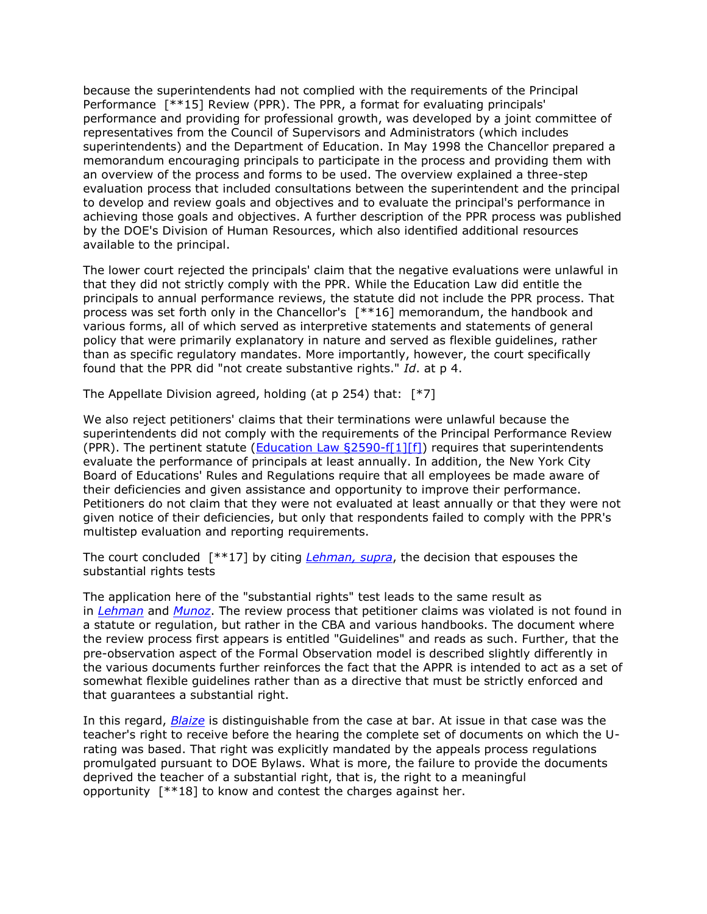because the superintendents had not complied with the requirements of the Principal Performance [\*\*15] Review (PPR). The PPR, a format for evaluating principals' performance and providing for professional growth, was developed by a joint committee of representatives from the Council of Supervisors and Administrators (which includes superintendents) and the Department of Education. In May 1998 the Chancellor prepared a memorandum encouraging principals to participate in the process and providing them with an overview of the process and forms to be used. The overview explained a three-step evaluation process that included consultations between the superintendent and the principal to develop and review goals and objectives and to evaluate the principal's performance in achieving those goals and objectives. A further description of the PPR process was published by the DOE's Division of Human Resources, which also identified additional resources available to the principal.

The lower court rejected the principals' claim that the negative evaluations were unlawful in that they did not strictly comply with the PPR. While the Education Law did entitle the principals to annual performance reviews, the statute did not include the PPR process. That process was set forth only in the Chancellor's [\*\*16] memorandum, the handbook and various forms, all of which served as interpretive statements and statements of general policy that were primarily explanatory in nature and served as flexible guidelines, rather than as specific regulatory mandates. More importantly, however, the court specifically found that the PPR did "not create substantive rights." *Id*. at p 4.

The Appellate Division agreed, holding (at p 254) that: [\*7]

We also reject petitioners' claims that their terminations were unlawful because the superintendents did not comply with the requirements of the Principal Performance Review (PPR). The pertinent statute (Education Law  $\S 2590-f[1] [f]$ ) requires that superintendents evaluate the performance of principals at least annually. In addition, the New York City Board of Educations' Rules and Regulations require that all employees be made aware of their deficiencies and given assistance and opportunity to improve their performance. Petitioners do not claim that they were not evaluated at least annually or that they were not given notice of their deficiencies, but only that respondents failed to comply with the PPR's multistep evaluation and reporting requirements.

The court concluded [\*\*17] by citing *[Lehman, supra](http://www.lexisnexis.com.ezproxy.strose.edu/lnacui2api/mungo/lexseestat.do?bct=A&risb=21_T12239350835&homeCsi=9095&A=0.3977014931131232&urlEnc=ISO-8859-1&&citeString=82%20A.D.2d%20832&countryCode=USA)*, the decision that espouses the substantial rights tests

The application here of the "substantial rights" test leads to the same result as in *[Lehman](http://www.lexisnexis.com.ezproxy.strose.edu/lnacui2api/mungo/lexseestat.do?bct=A&risb=21_T12239350835&homeCsi=9095&A=0.3977014931131232&urlEnc=ISO-8859-1&&citeString=82%20A.D.2d%20832&countryCode=USA)* and *[Munoz](http://www.lexisnexis.com.ezproxy.strose.edu/lnacui2api/mungo/lexseestat.do?bct=A&risb=21_T12239350835&homeCsi=9095&A=0.3977014931131232&urlEnc=ISO-8859-1&&citeString=2001%20N.Y.%20Misc.%20LEXIS%201242&countryCode=USA)*. The review process that petitioner claims was violated is not found in a statute or regulation, but rather in the CBA and various handbooks. The document where the review process first appears is entitled "Guidelines" and reads as such. Further, that the pre-observation aspect of the Formal Observation model is described slightly differently in the various documents further reinforces the fact that the APPR is intended to act as a set of somewhat flexible guidelines rather than as a directive that must be strictly enforced and that guarantees a substantial right.

In this regard, *[Blaize](http://www.lexisnexis.com.ezproxy.strose.edu/lnacui2api/mungo/lexseestat.do?bct=A&risb=21_T12239350835&homeCsi=9095&A=0.3977014931131232&urlEnc=ISO-8859-1&&citeString=68%20A.D.3d%20759&countryCode=USA)* is distinguishable from the case at bar. At issue in that case was the teacher's right to receive before the hearing the complete set of documents on which the Urating was based. That right was explicitly mandated by the appeals process regulations promulgated pursuant to DOE Bylaws. What is more, the failure to provide the documents deprived the teacher of a substantial right, that is, the right to a meaningful opportunity [\*\*18] to know and contest the charges against her.